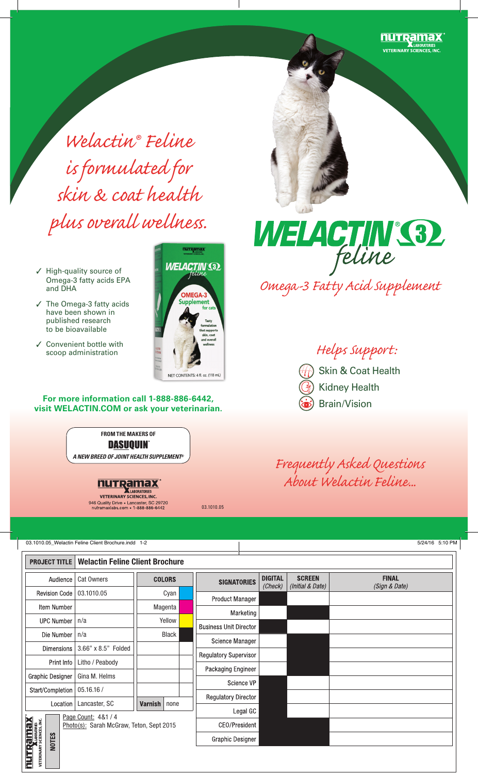

*Welactin® Feline is formulated for skin & coat health plus overall wellness.*

- $\checkmark$  High-quality source of Omega-3 fatty acids EPA and DHA
- $\checkmark$  The Omega-3 fatty acids have been shown in published research to be bioavailable
- $\checkmark$  Convenient bottle with<br>scoop administration



**For more information call 1-888-886-6442, visit WELACTIN.COM or ask your veterinarian.**

> **FROM THE MAKERS OF** DASUOUIN *A NEW BREED OF JOINT HEALTH SUPPLEMENT®*



946 Quality Drive . Lancaster, SC 29720 nutramaxlabs.com • 1-888-886-6442



scoop administration *Helps Support:* Skin & Coat Health Kidney Health Brain/Vision

*Frequently Asked Questions About Welactin Feline...*

03.1010.05